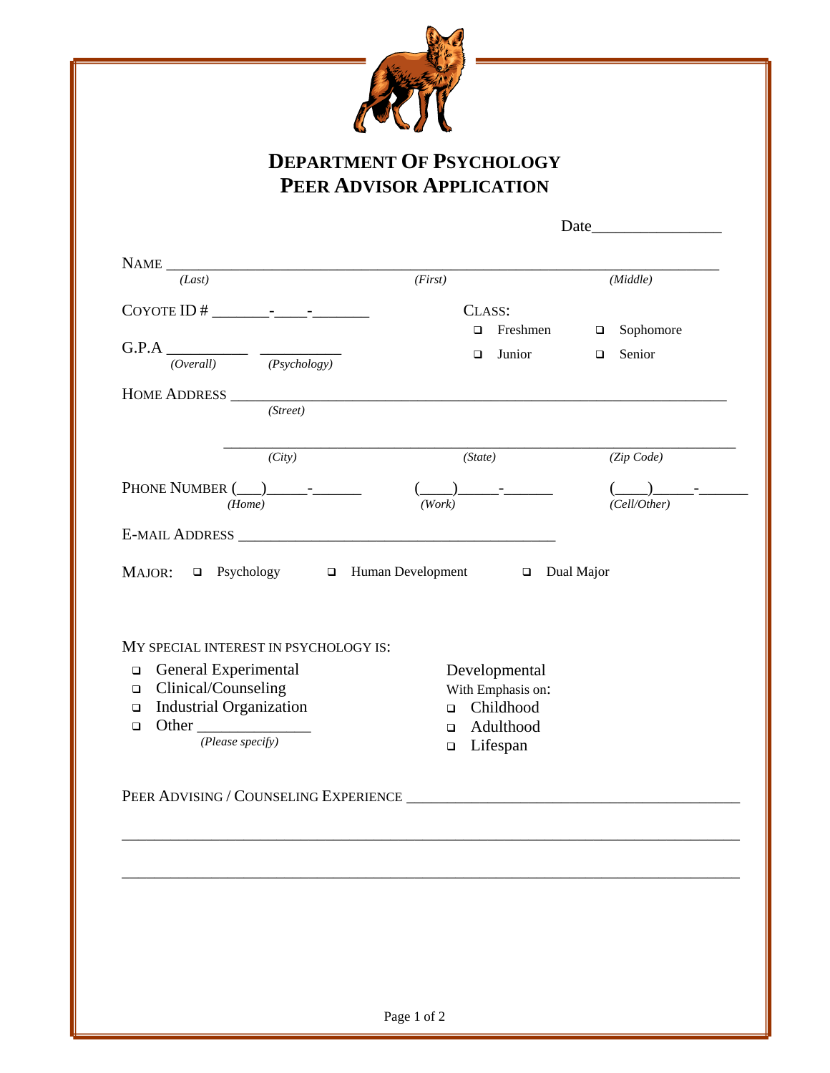

## **DEPARTMENT OF PSYCHOLOGY PEER ADVISOR APPLICATION**

| NAME $\frac{1}{\sqrt{last}}$ ( <i>First</i> )                                                                                                                                                                               |                                                 | (Middle)         |
|-----------------------------------------------------------------------------------------------------------------------------------------------------------------------------------------------------------------------------|-------------------------------------------------|------------------|
|                                                                                                                                                                                                                             | CLASS:                                          |                  |
|                                                                                                                                                                                                                             | $\Box$ Freshmen                                 | $\Box$ Sophomore |
| $G.P.A$ (Overall) $\overline{(Overall)}$ (Psychology)                                                                                                                                                                       | $\Box$ Junior                                   | $\Box$ Senior    |
|                                                                                                                                                                                                                             |                                                 |                  |
| HOME ADDRESS<br>(Street)                                                                                                                                                                                                    |                                                 |                  |
|                                                                                                                                                                                                                             |                                                 |                  |
| (City)                                                                                                                                                                                                                      | (State)                                         | (Zip Code)       |
|                                                                                                                                                                                                                             |                                                 |                  |
| (Home)                                                                                                                                                                                                                      | (Work)                                          | (Cell/Other)     |
|                                                                                                                                                                                                                             |                                                 |                  |
| General Experimental<br>$\Box$                                                                                                                                                                                              | Developmental                                   |                  |
| E-MAIL ADDRESS<br>MAJOR: <b>Q</b> Psychology <b>Q</b> Human Development <b>Q</b> Dual Major<br>MY SPECIAL INTEREST IN PSYCHOLOGY IS:<br>Clinical/Counseling<br>$\Box$<br><b>Industrial Organization</b><br>$\Box$<br>$\Box$ | With Emphasis on:<br>□ Childhood<br>a Adulthood |                  |
| Other $\frac{1}{(Please\ specify)}$                                                                                                                                                                                         | $\Box$ Lifespan                                 |                  |
|                                                                                                                                                                                                                             |                                                 |                  |
|                                                                                                                                                                                                                             |                                                 |                  |
|                                                                                                                                                                                                                             |                                                 |                  |
|                                                                                                                                                                                                                             |                                                 |                  |
|                                                                                                                                                                                                                             |                                                 |                  |